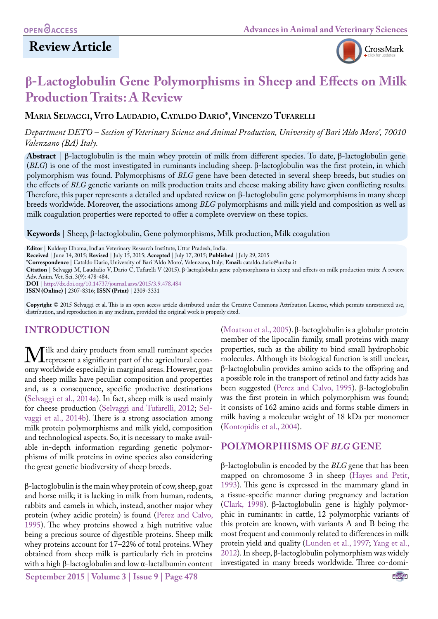## **Review Article**



# **β-Lactoglobulin Gene Polymorphisms in Sheep and Effects on Milk Production Traits: A Review**

**Maria Selvaggi, Vito Laudadio, Cataldo Dario\*, Vincenzo Tufarelli**

*Department DETO – Section of Veterinary Science and Animal Production, University of Bari 'Aldo Moro', 70010 Valenzano (BA) Italy.*

**Abstract** | β-lactoglobulin is the main whey protein of milk from different species. To date, β-lactoglobulin gene (*BLG*) is one of the most investigated in ruminants including sheep. β-lactoglobulin was the first protein, in which polymorphism was found. Polymorphisms of *BLG* gene have been detected in several sheep breeds, but studies on the effects of *BLG* genetic variants on milk production traits and cheese making ability have given conflicting results. Therefore, this paper represents a detailed and updated review on β-lactoglobulin gene polymorphisms in many sheep breeds worldwide. Moreover, the associations among *BLG* polymorphisms and milk yield and composition as well as milk coagulation properties were reported to offer a complete overview on these topics.

**Keywords** | Sheep, β-lactoglobulin, Gene polymorphisms, Milk production, Milk coagulation

**Editor** | Kuldeep Dhama, Indian Veterinary Research Institute, Uttar Pradesh, India.

**Received** | June 14, 2015; **Revised** | July 15, 2015; **Accepted** | July 17, 2015; **Published** | July 29, 2015

**\*Correspondence** | Cataldo Dario, University of Bari 'Aldo Moro', Valenzano, Italy; **Email:** cataldo.dario@uniba.it

**Citation** | Selvaggi M, Laudadio V, Dario C, Tufarelli V (2015). β-lactoglobulin gene polymorphisms in sheep and effects on milk production traits: A review. Adv. Anim. Vet. Sci. 3(9): 478-484.

**DOI** | <http://dx.doi.org/10.14737/journal.aavs/2015/3.9.478.484>

**ISSN (Online)** | 2307-8316; **ISSN (Print)** | 2309-3331

**Copyright** © 2015 Selvaggi et al. This is an open access article distributed under the Creative Commons Attribution License, which permits unrestricted use, distribution, and reproduction in any medium, provided the original work is properly cited.

## **INTRODUCTION**

We and dairy products from small ruminant species<br>omy worldwide especially in marginal areas. However, goat omy worldwide especially in marginal areas. However, goat and sheep milks have peculiar composition and properties and, as a consequence, specific productive destinations [\(Selvaggi et al., 2014a\)](#page-6-0). In fact, sheep milk is used mainly for cheese production [\(Selvaggi and Tufarelli, 2012](#page-6-1); [Sel](#page-6-2)[vaggi et al., 2014b\)](#page-6-2). There is a strong association among milk protein polymorphisms and milk yield, composition and technological aspects. So, it is necessary to make available in-depth information regarding genetic polymorphisms of milk proteins in ovine species also considering the great genetic biodiversity of sheep breeds.

β-lactoglobulin is the main whey protein of cow, sheep, goat and horse milk; it is lacking in milk from human, rodents, rabbits and camels in which, instead, another major whey protein (whey acidic protein) is found ([Perez and Calvo,](#page-6-3)  [1995](#page-6-3)). The whey proteins showed a high nutritive value being a precious source of digestible proteins. Sheep milk whey proteins account for 17–22% of total proteins. Whey obtained from sheep milk is particularly rich in proteins with a high β-lactoglobulin and low α-lactalbumin content

**September 2015 | Volume 3 | Issue 9 | Page 478**

([Moatsou et al., 2005](#page-5-0)). β-lactoglobulin is a globular protein member of the lipocalin family, small proteins with many properties, such as the ability to bind small hydrophobic molecules. Although its biological function is still unclear, β-lactoglobulin provides amino acids to the offspring and a possible role in the transport of retinol and fatty acids has been suggested ([Perez and Calvo, 1995](#page-6-3)). β-lactoglobulin was the first protein in which polymorphism was found; it consists of 162 amino acids and forms stable dimers in milk having a molecular weight of 18 kDa per monomer ([Kontopidis et al., 2004](#page-5-1)).

#### **POLYMORPHISMS OF** *BLG* **GENE**

β-lactoglobulin is encoded by the *BLG* gene that has been mapped on chromosome 3 in sheep ([Hayes and Petit,](#page-5-2)  [1993](#page-5-2)). This gene is expressed in the mammary gland in a tissue-specific manner during pregnancy and lactation ([Clark, 1998](#page-4-0)). β-lactoglobulin gene is highly polymorphic in ruminants: in cattle, 12 polymorphic variants of this protein are known, with variants A and B being the most frequent and commonly related to differences in milk protein yield and quality [\(Lunden et al., 1997;](#page-5-3) [Yang et al.,](#page-6-4)  [2012](#page-6-4)). In sheep, β-lactoglobulin polymorphism was widely investigated in many breeds worldwide. Three co-domi-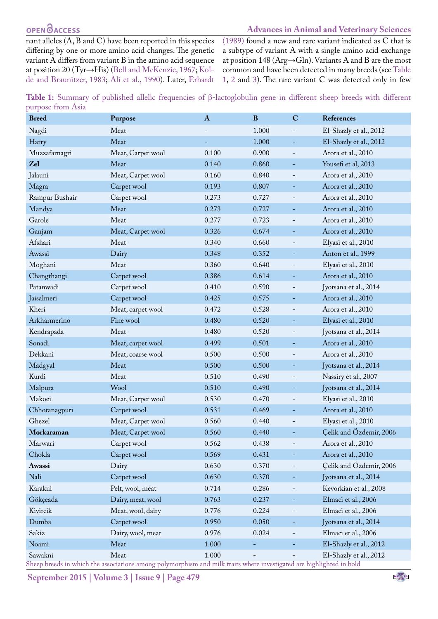## **OPEN**OACCESS

#### **Advances in Animal and Veterinary Sciences**

nant alleles (A, B and C) have been reported in this species differing by one or more amino acid changes. The genetic variant A differs from variant B in the amino acid sequence at position 20 (Tyr→His) [\(Bell and McKenzie, 1967;](#page-4-1) [Kol](#page-5-4)[de and Braunitzer, 1983;](#page-5-4) [Ali et al., 1990\)](#page-4-2). Later, [Erhardt](#page-5-5) [\(1989\)](#page-5-5) found a new and rare variant indicated as C that is a subtype of variant A with a single amino acid exchange at position 148 (Arg→Gln). Variants A and B are the most common and have been detected in many breeds (see [Table](#page-1-0)  [1](#page-1-0), [2](#page-2-0) and [3](#page-3-0)). The rare variant C was detected only in few

<span id="page-1-0"></span>

| Table 1: Summary of published allelic frequencies of $\beta$ -lactoglobulin gene in different sheep breeds with different |  |  |  |  |  |
|---------------------------------------------------------------------------------------------------------------------------|--|--|--|--|--|
| purpose from Asia                                                                                                         |  |  |  |  |  |

| <b>Breed</b>   | Purpose           | $\bf{A}$ | $\bf{B}$ | $\mathbf C$              | References              |
|----------------|-------------------|----------|----------|--------------------------|-------------------------|
| Nagdi          | Meat              |          | 1.000    |                          | El-Shazly et al., 2012  |
| Harry          | Meat              |          | 1.000    | ÷                        | El-Shazly et al., 2012  |
| Muzzafarnagri  | Meat, Carpet wool | 0.100    | 0.900    | $\qquad \qquad -$        | Arora et al., 2010      |
| Zel            | Meat              | 0.140    | 0.860    | ۰                        | Yousefi et al, 2013     |
| Jalauni        | Meat, Carpet wool | 0.160    | 0.840    | $\overline{\phantom{a}}$ | Arora et al., 2010      |
| Magra          | Carpet wool       | 0.193    | 0.807    |                          | Arora et al., 2010      |
| Rampur Bushair | Carpet wool       | 0.273    | 0.727    | -                        | Arora et al., 2010      |
| Mandya         | Meat              | 0.273    | 0.727    | ÷                        | Arora et al., 2010      |
| Garole         | Meat              | 0.277    | 0.723    | $\overline{\phantom{a}}$ | Arora et al., 2010      |
| Ganjam         | Meat, Carpet wool | 0.326    | 0.674    |                          | Arora et al., 2010      |
| Afshari        | Meat              | 0.340    | 0.660    | $\overline{\phantom{a}}$ | Elyasi et al., 2010     |
| Awassi         | Dairy             | 0.348    | 0.352    | -                        | Anton et al., 1999      |
| Moghani        | Meat              | 0.360    | 0.640    | $\overline{\phantom{a}}$ | Elyasi et al., 2010     |
| Changthangi    | Carpet wool       | 0.386    | 0.614    |                          | Arora et al., 2010      |
| Patanwadi      | Carpet wool       | 0.410    | 0.590    | $\qquad \qquad -$        | Jyotsana et al., 2014   |
| Jaisalmeri     | Carpet wool       | 0.425    | 0.575    | ۳                        | Arora et al., 2010      |
| Kheri          | Meat, carpet wool | 0.472    | 0.528    |                          | Arora et al., 2010      |
| Arkharmerino   | Fine wool         | 0.480    | 0.520    | ۰                        | Elyasi et al., 2010     |
| Kendrapada     | Meat              | 0.480    | 0.520    |                          | Jyotsana et al., 2014   |
| Sonadi         | Meat, carpet wool | 0.499    | 0.501    | -                        | Arora et al., 2010      |
| Dekkani        | Meat, coarse wool | 0.500    | 0.500    |                          | Arora et al., 2010      |
| Madgyal        | Meat              | 0.500    | 0.500    | ۳                        | Jyotsana et al., 2014   |
| Kurdi          | Meat              | 0.510    | 0.490    |                          | Nassiry et al., 2007    |
| Malpura        | Wool              | 0.510    | 0.490    | ÷                        | Jyotsana et al., 2014   |
| Makoei         | Meat, Carpet wool | 0.530    | 0.470    |                          | Elyasi et al., 2010     |
| Chhotanagpuri  | Carpet wool       | 0.531    | 0.469    |                          | Arora et al., 2010      |
| Ghezel         | Meat, Carpet wool | 0.560    | 0.440    |                          | Elyasi et al., 2010     |
| Morkaraman     | Meat, Carpet wool | 0.560    | 0.440    |                          | Çelik and Özdemir, 2006 |
| Marwari        | Carpet wool       | 0.562    | 0.438    |                          | Arora et al., 2010      |
| Chokla         | Carpet wool       | 0.569    | 0.431    |                          | Arora et al., 2010      |
| Awassi         | Dairy             | 0.630    | 0.370    |                          | Celik and Özdemir, 2006 |
| Nali           | Carpet wool       | 0.630    | 0.370    |                          | Jyotsana et al., 2014   |
| Karakul        | Pelt, wool, meat  | 0.714    | 0.286    | -                        | Kevorkian et al., 2008  |
| Gökçeada       | Dairy, meat, wool | 0.763    | 0.237    |                          | Elmaci et al., 2006     |
| Kivircik       | Meat, wool, dairy | 0.776    | 0.224    |                          | Elmaci et al., 2006     |
| Dumba          | Carpet wool       | 0.950    | 0.050    |                          | Jyotsana et al., 2014   |
| Sakiz          | Dairy, wool, meat | 0.976    | 0.024    | -                        | Elmaci et al., 2006     |
| Noami          | Meat              | 1.000    | ÷,       |                          | El-Shazly et al., 2012  |
| Sawakni        | Meat              | 1.000    |          |                          | El-Shazly et al., 2012  |

Sheep breeds in which the associations among polymorphism and milk traits where investigated are highlighted in bold

**September 2015 | Volume 3 | Issue 9 | Page 479**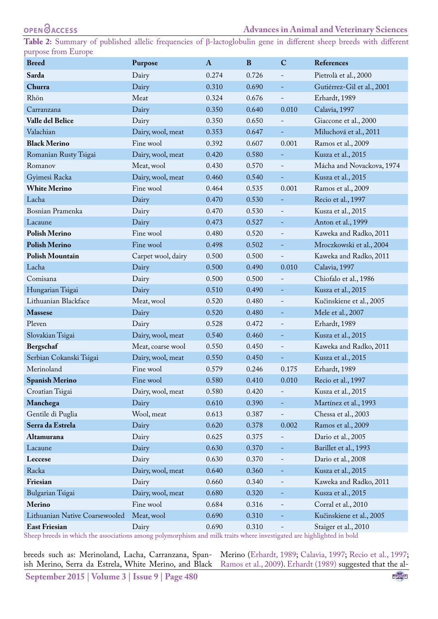<span id="page-2-0"></span>**Table 2:** Summary of published allelic frequencies of β-lactoglobulin gene in different sheep breeds with different purpose from Europe

| <b>Breed</b>                   | Purpose            | A     | B     | $\mathbf C$                  | References                 |  |
|--------------------------------|--------------------|-------|-------|------------------------------|----------------------------|--|
| Sarda                          | Dairy              | 0.274 | 0.726 | $\overline{\phantom{a}}$     | Pietrolà et al., 2000      |  |
| Churra                         | Dairy              | 0.310 | 0.690 | $\equiv$                     | Gutiérrez-Gil et al., 2001 |  |
| Rhön                           | Meat               | 0.324 | 0.676 | $\overline{\phantom{0}}$     | Erhardt, 1989              |  |
| Carranzana                     | Dairy              | 0.350 | 0.640 | 0.010                        | Calavia, 1997              |  |
| Valle del Belice               | Dairy              | 0.350 | 0.650 |                              | Giaccone et al., 2000      |  |
| Valachian                      | Dairy, wool, meat  | 0.353 | 0.647 | $\equiv$                     | Miluchová et al., 2011     |  |
| <b>Black Merino</b>            | Fine wool          | 0.392 | 0.607 | 0.001                        | Ramos et al., 2009         |  |
| Romanian Rusty Tsigai          | Dairy, wool, meat  | 0.420 | 0.580 | -                            | Kusza et al., 2015         |  |
| Romanov                        | Meat, wool         | 0.430 | 0.570 |                              | Mácha and Novackova, 1974  |  |
| Gyimesi Racka                  | Dairy, wool, meat  | 0.460 | 0.540 | $\equiv$                     | Kusza et al., 2015         |  |
| <b>White Merino</b>            | Fine wool          | 0.464 | 0.535 | 0.001                        | Ramos et al., 2009         |  |
| Lacha                          | Dairy              | 0.470 | 0.530 | Ξ                            | Recio et al., 1997         |  |
| Bosnian Pramenka               | Dairy              | 0.470 | 0.530 | $\overline{\phantom{a}}$     | Kusza et al., 2015         |  |
| Lacaune                        | Dairy              | 0.473 | 0.527 | -                            | Anton et al., 1999         |  |
| <b>Polish Merino</b>           | Fine wool          | 0.480 | 0.520 | $\overline{\phantom{a}}$     | Kaweka and Radko, 2011     |  |
| <b>Polish Merino</b>           | Fine wool          | 0.498 | 0.502 | $\overline{\phantom{a}}$     | Mroczkowski et al., 2004   |  |
| <b>Polish Mountain</b>         | Carpet wool, dairy | 0.500 | 0.500 | $\qquad \qquad -$            | Kaweka and Radko, 2011     |  |
| Lacha                          | Dairy              | 0.500 | 0.490 | 0.010                        | Calavia, 1997              |  |
| Comisana                       | Dairy              | 0.500 | 0.500 | $\overline{\phantom{a}}$     | Chiofalo et al., 1986      |  |
| Hungarian Tsigai               | Dairy              | 0.510 | 0.490 | $\overline{\phantom{a}}$     | Kusza et al., 2015         |  |
| Lithuanian Blackface           | Meat, wool         | 0.520 | 0.480 | $\overline{\phantom{a}}$     | Kučinskiene et al., 2005   |  |
| <b>Massese</b>                 | Dairy              | 0.520 | 0.480 | Ξ                            | Mele et al., 2007          |  |
| Pleven                         | Dairy              | 0.528 | 0.472 | $\overline{\phantom{a}}$     | Erhardt, 1989              |  |
| Slovakian Tsigai               | Dairy, wool, meat  | 0.540 | 0.460 | ÷                            | Kusza et al., 2015         |  |
| Bergschaf                      | Meat, coarse wool  | 0.550 | 0.450 | $\overline{\phantom{a}}$     | Kaweka and Radko, 2011     |  |
| Serbian Cokanski Tsigai        | Dairy, wool, meat  | 0.550 | 0.450 | $\equiv$                     | Kusza et al., 2015         |  |
| Merinoland                     | Fine wool          | 0.579 | 0.246 | 0.175                        | Erhardt, 1989              |  |
| <b>Spanish Merino</b>          | Fine wool          | 0.580 | 0.410 | 0.010                        | Recio et al., 1997         |  |
| Croatian Tsigai                | Dairy, wool, meat  | 0.580 | 0.420 |                              | Kusza et al., 2015         |  |
| Manchega                       | Dairy              | 0.610 | 0.390 | ÷                            | Martínez et al., 1993      |  |
| Gentile di Puglia              | Wool, meat         | 0.613 | 0.387 | $\overline{\phantom{0}}$     | Chessa et al., 2003        |  |
| Serra da Estrela               | Dairy              | 0.620 | 0.378 | 0.002                        | Ramos et al., 2009         |  |
| Altamurana                     | Dairy              | 0.625 | 0.375 | -                            | Dario et al., 2005         |  |
| Lacaune                        | Dairy              | 0.630 | 0.370 | $\equiv$                     | Barillet et al., 1993      |  |
| Leccese                        | Dairy              | 0.630 | 0.370 | $\qquad \qquad \blacksquare$ | Dario et al., 2008         |  |
| Racka                          | Dairy, wool, meat  | 0.640 | 0.360 | $\overline{\phantom{a}}$     | Kusza et al., 2015         |  |
| Friesian                       | Dairy              | 0.660 | 0.340 | $\overline{\phantom{0}}$     | Kaweka and Radko, 2011     |  |
| Bulgarian Tsigai               | Dairy, wool, meat  | 0.680 | 0.320 | ÷                            | Kusza et al., 2015         |  |
| Merino                         | Fine wool          | 0.684 | 0.316 | $\overline{\phantom{a}}$     | Corral et al., 2010        |  |
| Lithuanian Native Coarsewooled | Meat, wool         | 0.690 | 0.310 |                              | Kučinskiene et al., 2005   |  |
| <b>East Friesian</b>           | Dairy              | 0.690 | 0.310 | $\overline{\phantom{0}}$     | Staiger et al., 2010       |  |

Sheep breeds in which the associations among polymorphism and milk traits where investigated are highlighted in bold

**September 2015 | Volume 3 | Issue 9 | Page 480** breeds such as: Merinoland, Lacha, Carranzana, Spanish Merino, Serra da Estrela, White Merino, and Black

Merino [\(Erhardt, 1989;](#page-5-5) [Calavia, 1997;](#page-4-6) [Recio et al., 1997](#page-6-7); [Ramos et al., 2009\)](#page-6-6). [Erhardt \(1989\)](#page-5-5) suggested that the al-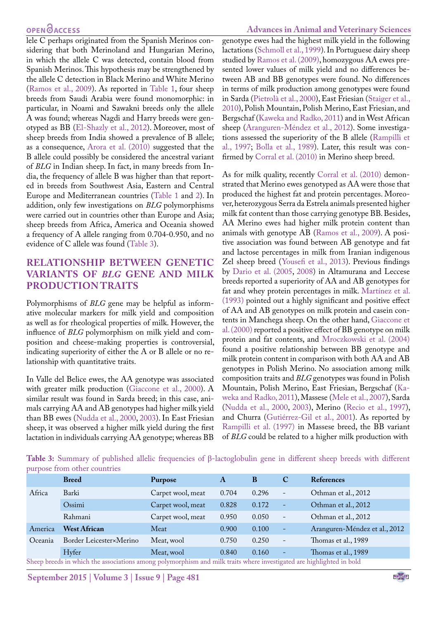#### **OPEN**OACCESS

lele C perhaps originated from the Spanish Merinos considering that both Merinoland and Hungarian Merino, in which the allele C was detected, contain blood from Spanish Merinos. This hypothesis may be strengthened by the allele C detection in Black Merino and White Merino [\(Ramos et al., 2009\)](#page-6-6). As reported in [Table 1,](#page-1-0) four sheep breeds from Saudi Arabia were found monomorphic: in particular, in Noami and Sawakni breeds only the allele A was found; whereas Nagdi and Harry breeds were genotyped as BB ([El-Shazly et al., 2012\)](#page-5-6). Moreover, most of sheep breeds from India showed a prevalence of B allele; as a consequence, [Arora et al. \(2010\)](#page-4-3) suggested that the B allele could possibly be considered the ancestral variant of *BLG* in Indian sheep. In fact, in many breeds from India, the frequency of allele B was higher than that reported in breeds from Southwest Asia, Eastern and Central Europe and Mediterranean countries ([Table 1](#page-1-0) and [2\)](#page-2-0). In addition, only few investigations on *BLG* polymorphisms were carried out in countries other than Europe and Asia; sheep breeds from Africa, America and Oceania showed a frequency of A allele ranging from 0.704-0.950, and no evidence of C allele was found [\(Table 3](#page-3-0)).

### **RELATIONSHIP BETWEEN GENETIC VARIANTS OF** *BLG* **GENE AND MILK PRODUCTION TRAITS**

Polymorphisms of *BLG* gene may be helpful as informative molecular markers for milk yield and composition as well as for rheological properties of milk. However, the influence of *BLG* polymorphism on milk yield and composition and cheese-making properties is controversial, indicating superiority of either the A or B allele or no relationship with quantitative traits.

In Valle del Belice ewes, the AA genotype was associated with greater milk production [\(Giaccone et al., 2000\)](#page-5-12). A similar result was found in Sarda breed; in this case, animals carrying AA and AB genotypes had higher milk yield than BB ewes [\(Nudda et al., 2000,](#page-5-18) [2003\)](#page-5-19). In East Friesian sheep, it was observed a higher milk yield during the first lactation in individuals carrying AA genotype; whereas BB genotype ewes had the highest milk yield in the following lactations ([Schmoll et al., 1999](#page-6-9)). In Portuguese dairy sheep studied by [Ramos et al. \(2009\)](#page-6-6), homozygous AA ewes presented lower values of milk yield and no differences between AB and BB genotypes were found. No differences in terms of milk production among genotypes were found in Sarda (Pietrolà et al., 2000), East Friesian ([Staiger et al.,](#page-6-8) [2010](#page-6-8)), Polish Mountain, Polish Merino, East Friesian, and Bergschaf ([Kaweka and Radko, 2011\)](#page-5-13) and in West African sheep (Aranguren-Méndez et al., 2012). Some investigations assessed the superiority of the B allele ([Rampilli et](#page-6-10) [al., 1997;](#page-6-10) Bolla et al., 1989). Later, this result was confirmed by [Corral et al. \(2010\)](#page-4-9) in Merino sheep breed.

As for milk quality, recently [Corral et al. \(2010\)](#page-4-9) demonstrated that Merino ewes genotyped as AA were those that produced the highest fat and protein percentages. Moreover, heterozygous Serra da Estrela animals presented higher milk fat content than those carrying genotype BB. Besides, AA Merino ewes had higher milk protein content than animals with genotype AB ([Ramos et al., 2009\)](#page-6-6). A positive association was found between AB genotype and fat and lactose percentages in milk from Iranian indigenous Zel sheep breed ([Yousefi et al., 2013](#page-6-5)). Previous findings by [Dario et al. \(2005](#page-5-16), [2008](#page-5-17)) in Altamurana and Leccese breeds reported a superiority of AA and AB genotypes for fat and whey protein percentages in milk. Martínez et al. (1993) pointed out a highly significant and positive effect of AA and AB genotypes on milk protein and casein contents in Manchega sheep. On the other hand, [Giaccone et](#page-5-12) [al. \(2000\)](#page-5-12) reported a positive effect of BB genotype on milk protein and fat contents, and [Mroczkowski et al. \(2004\)](#page-5-14) found a positive relationship between BB genotype and milk protein content in comparison with both AA and AB genotypes in Polish Merino. No association among milk composition traits and *BLG* genotypes was found in Polish Mountain, Polish Merino, East Friesian, Bergschaf [\(Ka](#page-5-13)[weka and Radko, 2011\)](#page-5-13), Massese [\(Mele et al., 2007](#page-5-15)), Sarda ([Nudda et al., 2000](#page-5-18), [2003\)](#page-5-19), Merino ([Recio et al., 1997](#page-6-7)), and Churra (Gutiérrez-Gil et al., 2001). As reported by [Rampilli et al. \(1997\)](#page-6-10) in Massese breed, the BB variant of *BLG* could be related to a higher milk production with

<span id="page-3-0"></span>**Table 3:** Summary of published allelic frequencies of β-lactoglobulin gene in different sheep breeds with different purpose from other countries

|                                                                                                                      | <b>Breed</b>            | Purpose           | A     | B     | C                        | References                    |
|----------------------------------------------------------------------------------------------------------------------|-------------------------|-------------------|-------|-------|--------------------------|-------------------------------|
| Africa                                                                                                               | Barki                   | Carpet wool, meat | 0.704 | 0.296 | $\overline{\phantom{a}}$ | Othman et al., 2012           |
|                                                                                                                      | Ossimi                  | Carpet wool, meat | 0.828 | 0.172 | $\equiv$                 | Othman et al., 2012           |
|                                                                                                                      | Rahmani                 | Carpet wool, meat | 0.950 | 0.050 | $\equiv$                 | Othman et al., 2012           |
| America                                                                                                              | <b>West African</b>     | Meat              | 0.900 | 0.100 | $\equiv$                 | Aranguren-Méndez et al., 2012 |
| Oceania                                                                                                              | Border Leicester×Merino | Meat, wool        | 0.750 | 0.250 | C.                       | Thomas et al., 1989           |
|                                                                                                                      | Hyfer                   | Meat, wool        | 0.840 | 0.160 | $\equiv$                 | Thomas et al., 1989           |
| Sheep breeds in which the associations among polymorphism and milk traits where investigated are highlighted in bold |                         |                   |       |       |                          |                               |

**September 2015 | Volume 3 | Issue 9 | Page 481**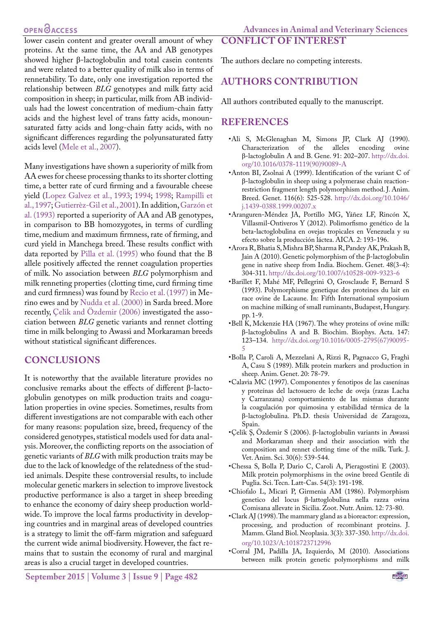#### **OPEN**OACCESS

lower casein content and greater overall amount of whey proteins. At the same time, the AA and AB genotypes showed higher β-lactoglobulin and total casein contents and were related to a better quality of milk also in terms of rennetability. To date, only one investigation reported the relationship between *BLG* genotypes and milk fatty acid composition in sheep; in particular, milk from AB individuals had the lowest concentration of medium-chain fatty acids and the highest level of trans fatty acids, monounsaturated fatty acids and long-chain fatty acids, with no significant differences regarding the polyunsaturated fatty acids level ([Mele et al., 2007\)](#page-5-15).

Many investigations have shown a superiority of milk from AA ewes for cheese processing thanks to its shorter clotting time, a better rate of curd firming and a favourable cheese yield [\(Lopez Galvez et al., 1993;](#page-5-20) [1994;](#page-5-21) [1998;](#page-5-22) [Rampilli et](#page-6-10) [al., 1997;](#page-6-10) Gutierrèz-Gil et al., 2001). In addition, Garzón et al. (1993) reported a superiority of AA and AB genotypes, in comparison to BB homozygotes, in terms of curdling time, medium and maximum firmness, rate of firming, and curd yield in Manchega breed. These results conflict with data reported by Pilla et al. (1995) who found that the B allele positively affected the rennet coagulation properties of milk. No association between *BLG* polymorphism and milk renneting properties (clotting time, curd firming time and curd firmness) was found by [Recio et al. \(1997\)](#page-6-7) in Merino ewes and by [Nudda et al. \(2000\)](#page-5-18) in Sarda breed. More recently, [Çelik and Özdemir \(2006\)](#page-4-5) investigated the association between *BLG* genetic variants and rennet clotting time in milk belonging to Awassi and Morkaraman breeds without statistical significant differences.

## **CONCLUSIONS**

It is noteworthy that the available literature provides no conclusive remarks about the effects of different β-lactoglobulin genotypes on milk production traits and coagulation properties in ovine species. Sometimes, results from different investigations are not comparable with each other for many reasons: population size, breed, frequency of the considered genotypes, statistical models used for data analysis. Moreover, the conflicting reports on the association of genetic variants of *BLG* with milk production traits may be due to the lack of knowledge of the relatedness of the studied animals. Despite these controversial results, to include molecular genetic markers in selection to improve livestock productive performance is also a target in sheep breeding to enhance the economy of dairy sheep production worldwide. To improve the local farms productivity in developing countries and in marginal areas of developed countries is a strategy to limit the off-farm migration and safeguard the current wide animal biodiversity. However, the fact remains that to sustain the economy of rural and marginal areas is also a crucial target in developed countries.

**CONFLICT OF INTEREST**

## **AUTHORS CONTRIBUTION**

All authors contributed equally to the manuscript.

#### **REFERENCES**

- <span id="page-4-2"></span>•Ali S, McGlenaghan M, Simons JP, Clark AJ (1990). Characterization of the alleles encoding β-lactoglobulin A and B. Gene. 91: 202–207. [http://dx.doi.](http://dx.doi.org/10.1016/0378-1119(90)90089-A) [org/10.1016/0378-1119\(90\)90089-A](http://dx.doi.org/10.1016/0378-1119(90)90089-A)
- <span id="page-4-4"></span>•Anton BI, Zsolnai A (1999). Identification of the variant C of β‐lactoglobulin in sheep using a polymerase chain reaction‐ restriction fragment length polymorphism method. J. Anim. Breed. Genet. 116(6): 525-528. [http://dx.doi.org/10.1046/](http://dx.doi.org/10.1046/j.1439-0388.1999.00207.x) [j.1439-0388.1999.00207.x](http://dx.doi.org/10.1046/j.1439-0388.1999.00207.x)
- •Aranguren-Méndez JA, Portillo MG, Yáñez LF, Rincón X, Villasmil-Ontiveros Y (2012). Polimorfismo genético de la beta-lactoglobulina en ovejas tropicales en Venezuela y su efecto sobre la producción láctea. AICA. 2: 193-196.
- <span id="page-4-3"></span>•Arora R, Bhatia S, Mishra BP, Sharma R, Pandey AK, Prakash B, Jain A (2010). Genetic polymorphism of the β-lactoglobulin gene in native sheep from India. Biochem. Genet. 48(3-4): 304-311.<http://dx.doi.org/10.1007/s10528-009-9323-6>
- •Barillet F, Mahé MF, Pellegrini O, Grosclaude F, Bernard S (1993). Polymorphisme genetique des proteines du lait en race ovine de Lacaune. In: Fifth International symposium on machine milking of small ruminants, Budapest, Hungary. pp. 1-9.
- <span id="page-4-1"></span>•Bell K, Mckenzie HA (1967). The whey proteins of ovine milk: β-lactoglobulins A and B. Biochim. Biophys. Acta. 147: 123–134. [http://dx.doi.org/10.1016/0005-2795\(67\)90095-](http://dx.doi.org/10.1016/0005-2795(67)90095-5) [5](http://dx.doi.org/10.1016/0005-2795(67)90095-5)
- •Bolla P, Caroli A, Mezzelani A, Rizzi R, Pagnacco G, Fraghì A, Casu S (1989). Milk protein markers and production in sheep. Anim. Genet. 20: 78-79.
- <span id="page-4-6"></span>•Calavia MC (1997). Componentes y fenotipos de las casenínas y proteínas del lactosuero de leche de oveja (razas Lacha y Carranzana) comportamiento de las mismas durante la coagulación por quimosina y estabilidad térmica de la β-lactoglobulina. Ph.D. thesis Universidad de Zaragoza, Spain.
- <span id="page-4-5"></span>•Çelik Ş, Özdemir S (2006). β-lactoglobulin variants in Awassi and Morkaraman sheep and their association with the composition and rennet clotting time of the milk. Turk. J. Vet. Anim. Sci. 30(6): 539-544.
- <span id="page-4-8"></span>•Chessa S, Bolla P, Dario C, Caroli A, Pieragostini E (2003). Milk protein polymorphisms in the ovine breed Gentile di Puglia. Sci. Tecn. Latt-Cas. 54(3): 191-198.
- <span id="page-4-7"></span>•Chiofalo L, Micari P, Girmenia AM (1986). Polymorphism genetico del locus β-lattoglobulina nella razza ovina Comisana allevate in Sicilia. Zoot. Nutr. Anim. 12: 73-80.
- <span id="page-4-0"></span>•Clark AJ (1998). The mammary gland as a bioreactor: expression, processing, and production of recombinant proteins. J. Mamm. Gland Biol. Neoplasia. 3(3): 337-350. [http://dx.doi.](http://dx.doi.org/10.1023/A:1018723712996) [org/10.1023/A:1018723712996](http://dx.doi.org/10.1023/A:1018723712996)
- <span id="page-4-9"></span>•Corral JM, Padilla JA, Izquierdo, M (2010). Associations between milk protein genetic polymorphisms and milk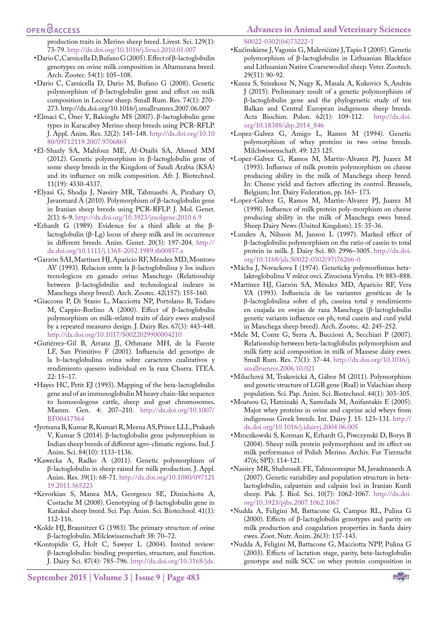production traits in Merino sheep breed. Livest. Sci. 129(1): 73-79.<http://dx.doi.org/10.1016/j.livsci.2010.01.007>

- <span id="page-5-16"></span>•Dario C, Carnicella D, Bufano G (2005). Effect of β-lactoglobulin genotypes on ovine milk composition in Altamurana breed. Arch. Zootec. 54(1): 105–108.
- <span id="page-5-17"></span>•Dario C, Carnicella D, Dario M, Bufano G (2008). Genetic polymorphism of β-lactoglobulin gene and effect on milk composition in Leccese sheep. Small Rum. Res. 74(1): 270- 273. <http://dx.doi.org/10.1016/j.smallrumres.2007.06.007>
- <span id="page-5-11"></span>•Elmaci C, Oner Y, Balcioglu MS (2007). β-lactoglobulin gene types in Karacabey Merino sheep breeds using PCR-RFLP. J. Appl. Anim. Res. 32(2): 145-148. [http://dx.doi.org/10.10](http://dx.doi.org/10.1080/09712119.2007.9706865) [80/09712119.2007.9706865](http://dx.doi.org/10.1080/09712119.2007.9706865)
- <span id="page-5-6"></span>•El-Shazly SA, Mahfouz ME, Al-Otaibi SA, Ahmed MM (2012). Genetic polymorphism in β-lactoglobulin gene of some sheep breeds in the Kingdom of Saudi Arabia (KSA) and its influence on milk composition. Afr. J. Biotechnol. 11(19): 4330-4337.
- <span id="page-5-7"></span>•Elyasi G, Shodja J, Nassiry MR, Tahmasebi A, Pirahary O, Javanmard A (2010). Polymorphism of β-lactoglobulin gene in Iranian sheep breeds using PCR-RFLP. J. Mol. Genet. 2(1): 6-9.<http://dx.doi.org/10.3923/jmolgene.2010.6.9>
- <span id="page-5-5"></span>•Erhardt G (1989). Evidence for a third allele at the β‐ lactoglobulin (β‐Lg) locus of sheep milk and its occurrence in different breeds. Anim. Genet. 20(3): 197-204. [http://](http://dx.doi.org/10.1111/j.1365-2052.1989.tb00857.x) [dx.doi.org/10.1111/j.1365-2052.1989.tb00857.x](http://dx.doi.org/10.1111/j.1365-2052.1989.tb00857.x)
- •Garzón SAI, Martinez HJ, Aparicio RF, Méndez MD, Montoro AV (1993). Relacion entre la β-lactoglobulina y los indices tecnologicos en ganado ovino Manchego (Relationship between β-lactoglobulin and technological indexes in Manchega sheep breed). Arch. Zootec. 42(157): 155-160.
- <span id="page-5-12"></span>•Giaccone P, Di Stasio L, Macciotta NP, Portolano B, Todaro M, Cappio-Borlino A (2000). Effect of β-lactoglobulin polymorphism on milk-related traits of dairy ewes analysed by a repeated measures design. J. Dairy Res. 67(3): 443-448. <http://dx.doi.org/10.1017/S0022029900004210>
- •Gutiérrez-Gil B, Arranz JJ, Othmane MH, de la Fuente LF, San Primitivo F (2001). Influencia del genotipo de la b-lactoglobulina ovina sobre caracteres cualitativos y rendimiento quesero individual en la raza Churra. ITEA. 22: 15–17.
- <span id="page-5-2"></span>•Hayes HC, Petit EJ (1993). Mapping of the beta-lactoglobulin gene and of an immunoglobulin M heavy chain-like sequence to homoeologous cattle, sheep and goat chromosomes. Mamm. Gen. 4: 207–210. [http://dx.doi.org/10.1007/](http://dx.doi.org/10.1007/BF00417564) [BF00417564](http://dx.doi.org/10.1007/BF00417564)
- <span id="page-5-8"></span>•Jyotsana B, Kumar R, Kumari R, Meena AS, Prince LLL, Prakash V, Kumar S (2014). β-lactoglobulin gene polymorphism in Indian sheep breeds of different agro-climatic regions. Ind. J. Anim. Sci. 84(10): 1133-1136.
- <span id="page-5-13"></span>•Kawecka A, Radko A (2011). Genetic polymorphism of β-lactoglobulin in sheep raised for milk production. J. Appl. Anim. Res. 39(1): 68-71. [http://dx.doi.org/10.1080/097121](http://dx.doi.org/10.1080/09712119.2011.565223) [19.2011.565223](http://dx.doi.org/10.1080/09712119.2011.565223)
- <span id="page-5-10"></span>•Kevorkian S, Manea MA, Georgescu SE, Dinischiotu A, Costache M (2008). Genotyping of β-lactoglobulin gene in Karakul sheep breed. Sci. Pap. Anim. Sci. Biotechnol. 41(1): 112-116.
- <span id="page-5-4"></span>•Kolde HJ, Braunitzer G (1983). The primary structure of ovine β-lactoglobulin. Milckwissenschaft 38: 70–72.
- <span id="page-5-1"></span>•Kontopidis G, Holt C, Sawyer L (2004). Invited review: β-lactoglobulin: binding properties, structure, and function. J. Dairy Sci. 87(4): 785-796. [http://dx.doi.org/10.3168/jds.](http://dx.doi.org/10.3168/jds.S0022-0302(04)73222-1)

[S0022-0302\(04\)73222-1](http://dx.doi.org/10.3168/jds.S0022-0302(04)73222-1)

- •Kučinskiene J, Vagonis G, Malevičiūtė J, Tapio I (2005). Genetic polymorphism of β-lactoglobulin in Lithuanian Blackface and Lithuanian Native Coarsewooled sheep. Veter. Zootech. 29(51): 90-92.
- •Kusza S, Sziszkosz N, Nagy K, Masala A, Kukovics S, András J (2015). Preliminary result of a genetic polymorphism of β-lactoglobulin gene and the phylogenetic study of ten Balkan and Central European indigenous sheep breeds. Acta Biochim. Polon. 62(1): 109-112. [http://dx.doi.](http://dx.doi.org/10.18388/abp.2014_846) [org/10.18388/abp.2014\\_846](http://dx.doi.org/10.18388/abp.2014_846)
- <span id="page-5-21"></span>•Lopez-Galvez G, Amigo L, Ramos M (1994). Genetic polymorphism of whey proteins in two ovine breeds. Milchwissenschaft. 49: 123 125.
- <span id="page-5-20"></span>•Lopez-Galvez G, Ramos M, Martin-Alvarez PJ, Juarez M (1993). Influence of milk protein polymorphism on cheese producing ability in the milk of Manchega sheep breed. In: Cheese yield and factors affecting its control. Brussels, Belgium; Int. Dairy Federation, pp. 163- 173.
- <span id="page-5-22"></span>•Lopez-Galvez G, Ramos M, Martin-Alvarez PJ, Juarez M (1998). Influence of milk protein poly-morphism on cheese producing ability in the milk of Manchega ewes breed. Sheep Dairy News (United Kingdom). 15: 35-36.
- <span id="page-5-3"></span>•Lunden A, Nilsson M, Janson L (1997). Marked effect of β-lactoglobulin polymorphism on the ratio of casein to total protein in milk. J. Dairy Sci. 80: 2996–3005. [http://dx.doi.](http://dx.doi.org/10.3168/jds.S0022-0302(97)76266-0) [org/10.3168/jds.S0022-0302\(97\)76266-0](http://dx.doi.org/10.3168/jds.S0022-0302(97)76266-0)
- •Mácha J, Novackova I (1974). Geneticky polymorfismus betalaktoglobulinu V mléce ovci. Zivocisna Vyroba. 19: 883–888.
- •Martínez HJ, Garzón SA, Méndez MD, Aparicio RF, Vera VA (1993). Influencia de las variantes genéticas de la β-lactoglobulina sobre el ph, caseina total y rendimiento en cuajada en ovejas de raza Manchega (β-lactoglobulin genetic variants influence on ph, total casein and curd yield in Manchega sheep breed). Arch. Zootec. 42: 245-252.
- <span id="page-5-15"></span>•Mele M, Conte G, Serra A, Buccioni A, Secchiari P (2007). Relationship between beta-lactoglobulin polymorphism and milk fatty acid composition in milk of Massese dairy ewes. Small Rum. Res. 73(1): 37-44. [http://dx.doi.org/10.1016/j.](http://dx.doi.org/10.1016/j.smallrumres.2006.10.021) [smallrumres.2006.10.021](http://dx.doi.org/10.1016/j.smallrumres.2006.10.021)
- •Miluchová M, Trakovická A, Gábor M (2011). Polymorphism and genetic structure of LGB gene (RsaI) in Valachian sheep population. Sci. Pap. Anim. Sci. Biotechnol. 44(1): 303-305.
- <span id="page-5-0"></span>•Moatsou G, Hatzinaki A, Samolada M, Anifantakis E (2005). Major whey proteins in ovine and caprine acid wheys from indigenous Greek breeds. Int. Dairy J. 15: 123–131. [http://](http://dx.doi.org/10.1016/j.idairyj.2004.06.005) [dx.doi.org/10.1016/j.idairyj.2004.06.005](http://dx.doi.org/10.1016/j.idairyj.2004.06.005)
- <span id="page-5-14"></span>•Mroczkowski S, Korman K, Erhardt G, Piwczynski D, Borys B (2004). Sheep milk protein polymorphism and its effect on milk performance of Polish Merino. Archiv. Fur Tierzucht 47(6; SPI): 114-121.
- <span id="page-5-9"></span>•Nassiry MR, Shahroudi FE, Tahmoorespur M, Javadmanesh A (2007). Genetic variability and population structure in betalactoglobulin, calpastain and calpain loci in Iranian Kurdi sheep. Pak. J. Biol. Sci. 10(7): 1062-1067. [http://dx.doi.](http://dx.doi.org/10.3923/pjbs.2007.1062.1067) [org/10.3923/pjbs.2007.1062.1067](http://dx.doi.org/10.3923/pjbs.2007.1062.1067)
- <span id="page-5-18"></span>•Nudda A, Feligini M, Battacone G, Campus RL, Pulina G (2000). Effects of β-lactoglobulin genotypes and parity on milk production and coagulation properties in Sarda dairy ewes. Zoot. Nutr. Anim. 26(3): 137-143.
- <span id="page-5-19"></span>•Nudda A, Feligini M, Battacone G, Macciotta NPP, Pulina G (2003). Effects of lactation stage, parity, beta-lactoglobulin genotype and milk SCC on whey protein composition in

NE**Xus**